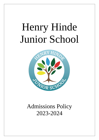# Henry Hinde Junior School



# Admissions Policy 2023-2024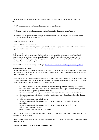In accordance with the agreed admissions policy of the LA 70 children will be admitted to each year group.

- ∗ We admit children in the Autumn Term after their seventh birthday.
- ∗ You may apply to the school, on an application form, during the autumn term of Year 2.
- ∗ The LA will tell you whether or not a place can be offered to your child by the end of March before the September when he or she starts.

# **ADMISSIONS CRITERIA**

# **Planned Admission Number (PAN)**

The planned admission number, which represents the number of pupils the school will admit if sufficient applications for places are received, is 70 per year group.

#### **Priority Areas**

Each community and voluntary controlled school has an area identified as its priority area (other local authorities refer to catchment areas). A small number of schools share priority areas; these are known as shared priority areas. Full details of priority areas are available on the Warwickshire County Council website and can be viewed using interactive maps:

Junior and Primary School Priority Area Maps - <http://www.warwickshire.gov.uk/mapjuniorprimaryschools>

#### **Over Subscription Criteria**

Where applications for admission exceed the number of places available, the following criteria will be applied, in the order set out below, to decide which children to admit. Late applications will be considered after those received on time.

*Note: The Board of Trustees recognise their duty to admit a child with an Education, Health and Care Plan that names the school, if the school can reasonably meet the needs stated in such a plan. This may reduce the number of places available for other applicants.*

- 1. Children in the care of, or provided with accommodation by, a Local Authority and children who were looked after, but ceased to be so because they were adopted (or become subject to a residence order or special guardianship order);
- 2. Children living in the priority area who have a sibling at the school at the time of admission;
- 3. Children living in the priority area who have a sibling at Henry Hinde Infant School at the time of admission;
- 4. Other children living in the priority area;
- 5. Children living outside the priority area who have a sibling at the school at the time of admission;
- 6. Children living outside the priority area who have a sibling at Henry Hinde Infant School at the time of admission;
- 7. Other children living outside the priorityarea.

Within each criterion priority is given in order of distance between the child's home and school (shortest  $distance = highest priority$ ).

Distance will be calculated by the straight line measurement from the applicant's home address (as set by Ordnance Survey)

# **Applications for children to be taught out of year group**